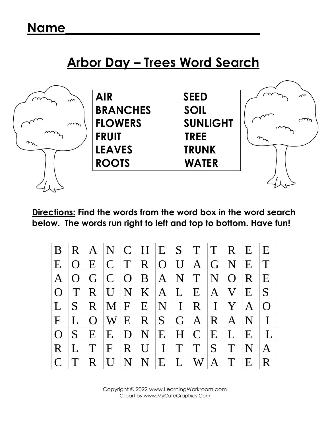## **Arbor Day – Trees Word Search**



**Directions: Find the words from the word box in the word search below. The words run right to left and top to bottom. Have fun!**

| B             |          |           | $R$ $A$ $N$ $C$ $H$ $E$ |              |                |                | S              | $T$ $T$          |                | R E          |                | E           |
|---------------|----------|-----------|-------------------------|--------------|----------------|----------------|----------------|------------------|----------------|--------------|----------------|-------------|
| E             | $\Omega$ | E         | C T                     |              | R O            |                | $\mathbf{U}$   | $\mathbf{A}$     | $\overline{G}$ | N            | E              | $\mathbf T$ |
| A             | $\Omega$ | G         | $ C $ $ O $             |              | B A            |                | N              | $ \text{T}^{-} $ | N              | $\Omega$     | $\overline{R}$ | E           |
| $\Omega$      | T        | R         |                         |              | U N K A        |                | L              | E                | $\mathbf{A}$   | $\bf V$      | E              | $\vert S$   |
| L             | S        | R         |                         | M/F          | E              |                | $N \mid I$     |                  | $R$   $I$      | Y            | $\mathbf{A}$   | $\Omega$    |
| $\mathbf{F}$  |          | $\Omega$  |                         | W/E          | $\overline{R}$ | S <sub>1</sub> | G <sub>1</sub> | $^+A^-$          | $\mathbf{R}$   | $\mathbf{A}$ | $\mathbf N$    |             |
| $\Omega$      | S        | E         | E                       | $\mathbf{D}$ | $\mathbf N$    | E              | H <sub>1</sub> | $\mathbf C$      | E              | $\bf{L}$     | E              |             |
| R             |          | T         | $\mathbf{F}$            | $\mathbf{R}$ | $\prod$        | $\mathbf{I}$   | T              | T                | S              | T            | N              |             |
| $\mathcal{C}$ |          | $\cdot$ R | $\overline{U}$          | N            | N              | E              | $\mathbf{L}$   | W                | $\bf{A}$       | T            | E              | R.          |

Ans Copyright © 2022 www.LearningWorkroom.com Clipart by www.MyCuteGraphics.Com